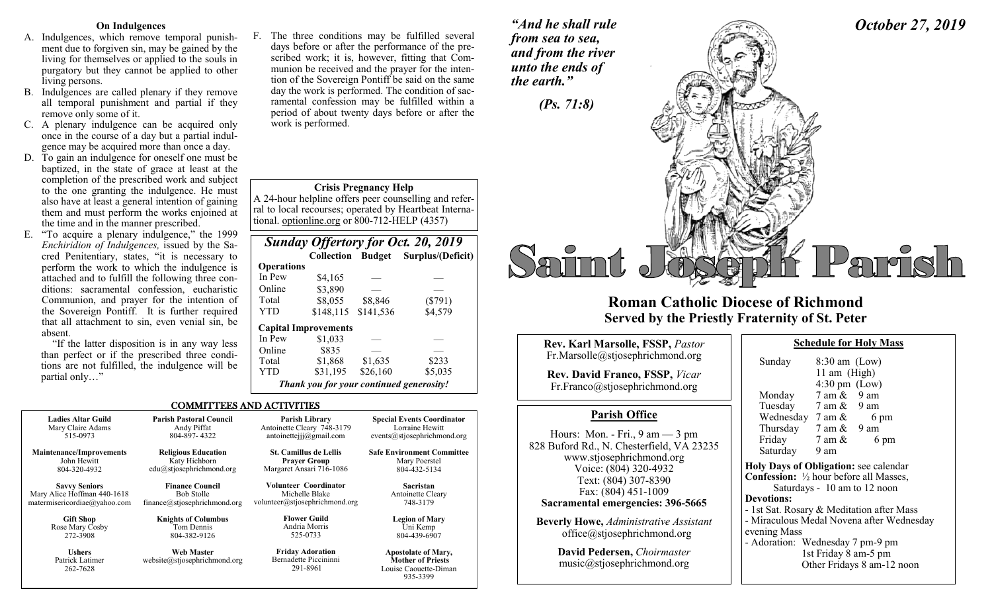# **On Indulgences**

- A. Indulgences, which remove temporal punishment due to forgiven sin, may be gained by the living for themselves or applied to the souls in purgatory but they cannot be applied to other living persons.
- B. Indulgences are called plenary if they remove all temporal punishment and partial if they remove only some of it.
- C. A plenary indulgence can be acquired only once in the course of a day but a partial indulgence may be acquired more than once a day.
- D. To gain an indulgence for oneself one must be baptized, in the state of grace at least at the completion of the prescribed work and subject to the one granting the indulgence. He must also have at least a general intention of gaining them and must perform the works enjoined at the time and in the manner prescribed.
- E. "To acquire a plenary indulgence," the 1999 *Enchiridion of Indulgences,* issued by the Sacred Penitentiary, states, "it is necessary to perform the work to which the indulgence is attached and to fulfill the following three conditions: sacramental confession, eucharistic Communion, and prayer for the intention of the Sovereign Pontiff. It is further required that all attachment to sin, even venial sin, be absent.

"If the latter disposition is in any way less than perfect or if the prescribed three conditions are not fulfilled, the indulgence will be partial only…"

F. The three conditions may be fulfilled several days before or after the performance of the prescribed work; it is, however, fitting that Communion be received and the prayer for the intention of the Sovereign Pontiff be said on the same day the work is performed. The condition of sacramental confession may be fulfilled within a period of about twenty days before or after the work is performed.

*"And he shall rule from sea to sea, and from the river unto the ends of the earth."*

# **Crisis Pregnancy Help**

A 24-hour helpline offers peer counselling and referral to local recourses; operated by Heartbeat International. optionline.org or 800-712-HELP (4357)

|                   |                                          |           | <b>Sunday Offertory for Oct. 20, 2019</b> |
|-------------------|------------------------------------------|-----------|-------------------------------------------|
|                   | <b>Collection Budget</b>                 |           | Surplus/(Deficit)                         |
| <b>Operations</b> |                                          |           |                                           |
| In Pew            | \$4,165                                  |           |                                           |
| Online            | \$3,890                                  |           |                                           |
| Total             | \$8,055                                  | \$8,846   | $(\$791)$                                 |
| YTD               | \$148, 115                               | \$141,536 | \$4,579                                   |
|                   | <b>Capital Improvements</b>              |           |                                           |
| In Pew            | \$1,033                                  |           |                                           |
| Online            | \$835                                    |           |                                           |
| Total             | \$1,868                                  | \$1,635   | \$233                                     |
| YTD               | \$31,195                                 | \$26,160  | \$5,035                                   |
|                   | Thank you for your continued generosity! |           |                                           |

935-3399

### COMMITTEES AND ACTIVITIES

| <b>Ladies Altar Guild</b>                    | <b>Parish Pastoral Council</b>                    | Parish Library                                               | <b>Special Events Coordinator</b>                                               |
|----------------------------------------------|---------------------------------------------------|--------------------------------------------------------------|---------------------------------------------------------------------------------|
| Mary Claire Adams                            | Andy Piffat                                       | Antoinette Cleary 748-3179                                   | Lorraine Hewitt                                                                 |
| 515-0973                                     | 804-897-4322                                      | antoinettejjj $@g$ mail.com                                  | events@stjosephrichmond.org                                                     |
| <b>Maintenance/Improvements</b>              | <b>Religious Education</b>                        | <b>St. Camillus de Lellis</b>                                | <b>Safe Environment Committee</b>                                               |
| John Hewitt                                  | Katy Hichborn                                     | <b>Prayer Group</b>                                          | Mary Poerstel                                                                   |
| 804-320-4932                                 | edu@stjosephrichmond.org                          | Margaret Ansari 716-1086                                     | 804-432-5134                                                                    |
| <b>Savvy Seniors</b>                         | <b>Finance Council</b>                            | Volunteer Coordinator                                        | <b>Sacristan</b>                                                                |
| Mary Alice Hoffman 440-1618                  | <b>Bob Stolle</b>                                 | Michelle Blake                                               | Antoinette Cleary                                                               |
| matermisericordiae@yahoo.com                 | finance@stjosephrichmond.org                      | volunteer@stjosephrichmond.org                               | 748-3179                                                                        |
| <b>Gift Shop</b>                             | <b>Knights of Columbus</b>                        | <b>Flower Guild</b>                                          | <b>Legion of Mary</b>                                                           |
| Rose Mary Cosby                              | Tom Dennis                                        | Andria Morris                                                | Uni Kemp                                                                        |
| 272-3908                                     | 804-382-9126                                      | 525-0733                                                     | 804-439-6907                                                                    |
| <b>Ushers</b><br>Patrick Latimer<br>262-7628 | <b>Web Master</b><br>website@stjosephrichmond.org | <b>Friday Adoration</b><br>Bernadette Piccininni<br>291-8961 | <b>Apostolate of Mary,</b><br><b>Mother of Priests</b><br>Louise Caouette-Diman |



# **Roman Catholic Diocese of Richmond Served by the Priestly Fraternity of St. Peter**

| <b>Rev. Karl Marsolle, FSSP, Pastor</b>                                                                                    | <b>Schedule for Holy Mass</b>                                                                                         |
|----------------------------------------------------------------------------------------------------------------------------|-----------------------------------------------------------------------------------------------------------------------|
| Fr.Marsolle@stjosephrichmond.org                                                                                           | $8:30$ am (Low)<br>Sunday                                                                                             |
| <b>Rev. David Franco, FSSP, Vicar</b><br>Fr.Franco@stjosephrichmond.org                                                    | 11 am (High)<br>$4:30 \text{ pm}$ (Low)<br>7 am &<br>9 am<br>Monday                                                   |
| <b>Parish Office</b>                                                                                                       | Tuesday 7 am & 9 am<br>Wednesday $7 \text{ am } \&$<br>6 pm                                                           |
| Hours: Mon. - Fri., $9 \text{ am} - 3 \text{ pm}$<br>828 Buford Rd., N. Chesterfield, VA 23235<br>www.stjosephrichmond.org | Thursday $7 \text{ am } \& 9 \text{ am}$<br>Friday<br>7 am &<br>6 pm<br>Saturday<br>9 am                              |
| Voice: (804) 320-4932<br>Text: (804) 307-8390<br>Fax: (804) 451-1009                                                       | Holy Days of Obligation: see calenda<br><b>Confession:</b> 1/2 hour before all Masses<br>Saturdays - 10 am to 12 noon |
| Sacramental emergencies: 396-5665<br><b>Beverly Howe, Administrative Assistant</b>                                         | <b>Devotions:</b><br>- 1st Sat. Rosary & Meditation after M<br>- Miraculous Medal Novena after Wed                    |
| office@stjosephrichmond.org                                                                                                | evening Mass<br>- Adoration: Wednesday 7 pm-9 pm                                                                      |

**David Pedersen,** *Choirmaster* music@stjosephrichmond.org

| Sunday | $8:30$ am (Low)                 |
|--------|---------------------------------|
|        | 11 am (High)                    |
|        | $4:30 \text{ pm}$ (Low)         |
| Monday | $7 \text{ am } \& 9 \text{ am}$ |

*October 27, 2019*

am  $& 9$  am am  $\&$  6 pm am **Higation:** see calendar **Conferential** Masses,  $10$  am to  $12$  noon & Meditation after Mass lal Novena after Wednesday dnesday 7 pm-9 pm 1st Friday 8 am-5 pm Other Fridays 8 am-12 noon